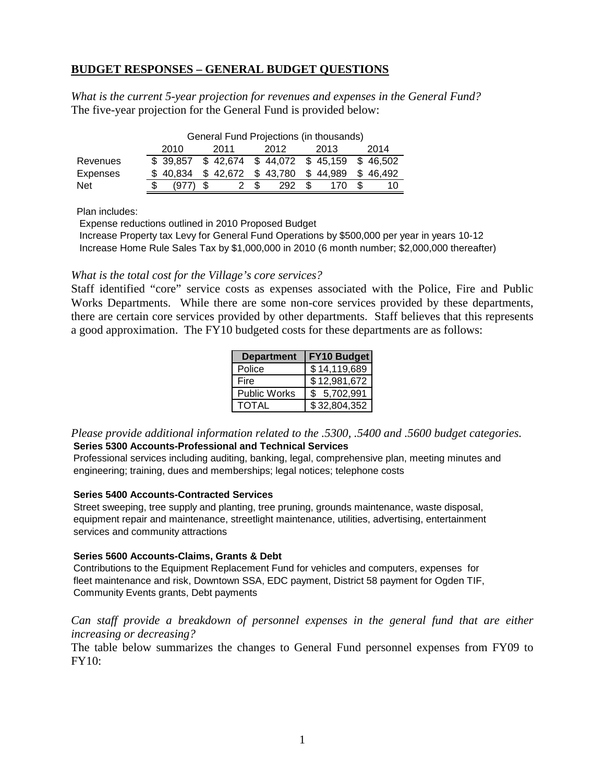# **BUDGET RESPONSES – GENERAL BUDGET QUESTIONS**

*What is the current 5-year projection for revenues and expenses in the General Fund?*  The five-year projection for the General Fund is provided below:

|                 | General Fund Projections (in thousands) |                                         |  |                   |  |     |     |          |      |          |
|-----------------|-----------------------------------------|-----------------------------------------|--|-------------------|--|-----|-----|----------|------|----------|
|                 | 2012<br>2010<br>2011<br>2013            |                                         |  |                   |  |     |     |          | 2014 |          |
| Revenues        |                                         | $$39,857$ $$42,674$ $$44,072$ $$45,159$ |  |                   |  |     |     |          |      | \$46.502 |
| <b>Expenses</b> |                                         | \$40.834                                |  | \$42,672 \$43,780 |  |     |     | \$44,989 |      | \$46.492 |
| <b>Net</b>      |                                         |                                         |  |                   |  | 292 | \$. | 170      |      |          |

Plan includes:

Expense reductions outlined in 2010 Proposed Budget

 Increase Property tax Levy for General Fund Operations by \$500,000 per year in years 10-12 Increase Home Rule Sales Tax by \$1,000,000 in 2010 (6 month number; \$2,000,000 thereafter)

### *What is the total cost for the Village's core services?*

Staff identified "core" service costs as expenses associated with the Police, Fire and Public Works Departments. While there are some non-core services provided by these departments, there are certain core services provided by other departments. Staff believes that this represents a good approximation. The FY10 budgeted costs for these departments are as follows:

| <b>Department</b>   | <b>FY10 Budget</b> |  |  |  |  |
|---------------------|--------------------|--|--|--|--|
| Police              | \$14,119,689       |  |  |  |  |
| Fire                | \$12,981,672       |  |  |  |  |
| <b>Public Works</b> | 5,702,991<br>IS.   |  |  |  |  |
| TOTAL               | \$32,804,352       |  |  |  |  |

*Please provide additional information related to the .5300, .5400 and .5600 budget categories.*  **Series 5300 Accounts-Professional and Technical Services**

Professional services including auditing, banking, legal, comprehensive plan, meeting minutes and engineering; training, dues and memberships; legal notices; telephone costs

#### **Series 5400 Accounts-Contracted Services**

Street sweeping, tree supply and planting, tree pruning, grounds maintenance, waste disposal, equipment repair and maintenance, streetlight maintenance, utilities, advertising, entertainment services and community attractions

#### **Series 5600 Accounts-Claims, Grants & Debt**

Contributions to the Equipment Replacement Fund for vehicles and computers, expenses for fleet maintenance and risk, Downtown SSA, EDC payment, District 58 payment for Ogden TIF, Community Events grants, Debt payments

Can staff provide a breakdown of personnel expenses in the general fund that are either *increasing or decreasing?* 

The table below summarizes the changes to General Fund personnel expenses from FY09 to FY10: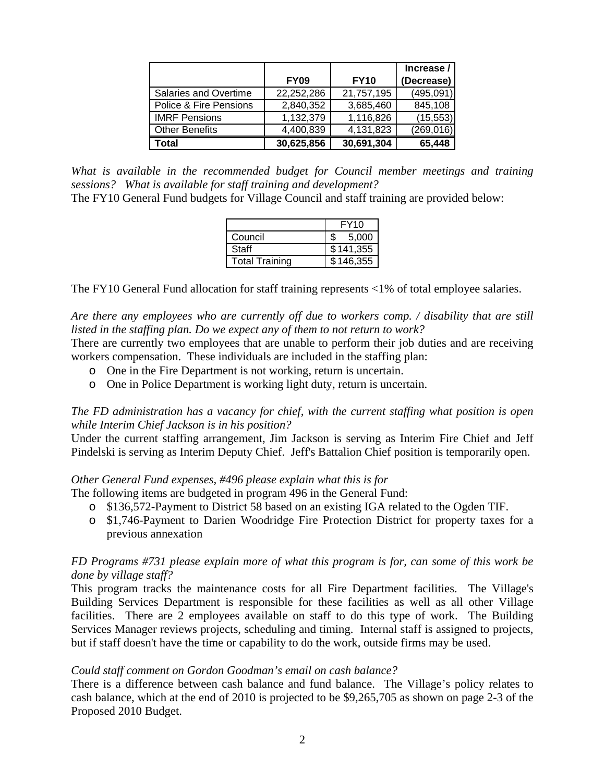|                        |             |             | Increase / |
|------------------------|-------------|-------------|------------|
|                        | <b>FY09</b> | <b>FY10</b> | (Decrease) |
| Salaries and Overtime  | 22,252,286  | 21,757,195  | (495,091)  |
| Police & Fire Pensions | 2,840,352   | 3,685,460   | 845,108    |
| <b>IMRF Pensions</b>   | 1,132,379   | 1,116,826   | (15, 553)  |
| <b>Other Benefits</b>  | 4,400,839   | 4,131,823   | (269, 016) |
| Total                  | 30,625,856  | 30,691,304  | 65,448     |

*What is available in the recommended budget for Council member meetings and training sessions? What is available for staff training and development?* 

The FY10 General Fund budgets for Village Council and staff training are provided below:

|                       | FY10      |  |  |
|-----------------------|-----------|--|--|
| Council               | 5,000     |  |  |
| Staff                 | \$141,355 |  |  |
| <b>Total Training</b> | \$146,355 |  |  |

The FY10 General Fund allocation for staff training represents <1% of total employee salaries.

*Are there any employees who are currently off due to workers comp. / disability that are still listed in the staffing plan. Do we expect any of them to not return to work?* 

There are currently two employees that are unable to perform their job duties and are receiving workers compensation. These individuals are included in the staffing plan:

- o One in the Fire Department is not working, return is uncertain.
- o One in Police Department is working light duty, return is uncertain.

### *The FD administration has a vacancy for chief, with the current staffing what position is open while Interim Chief Jackson is in his position?*

Under the current staffing arrangement, Jim Jackson is serving as Interim Fire Chief and Jeff Pindelski is serving as Interim Deputy Chief. Jeff's Battalion Chief position is temporarily open.

### *Other General Fund expenses, #496 please explain what this is for*

The following items are budgeted in program 496 in the General Fund:

- o \$136,572-Payment to District 58 based on an existing IGA related to the Ogden TIF.
- o \$1,746-Payment to Darien Woodridge Fire Protection District for property taxes for a previous annexation

## *FD Programs #731 please explain more of what this program is for, can some of this work be done by village staff?*

This program tracks the maintenance costs for all Fire Department facilities. The Village's Building Services Department is responsible for these facilities as well as all other Village facilities. There are 2 employees available on staff to do this type of work. The Building Services Manager reviews projects, scheduling and timing. Internal staff is assigned to projects, but if staff doesn't have the time or capability to do the work, outside firms may be used.

## *Could staff comment on Gordon Goodman's email on cash balance?*

There is a difference between cash balance and fund balance. The Village's policy relates to cash balance, which at the end of 2010 is projected to be \$9,265,705 as shown on page 2-3 of the Proposed 2010 Budget.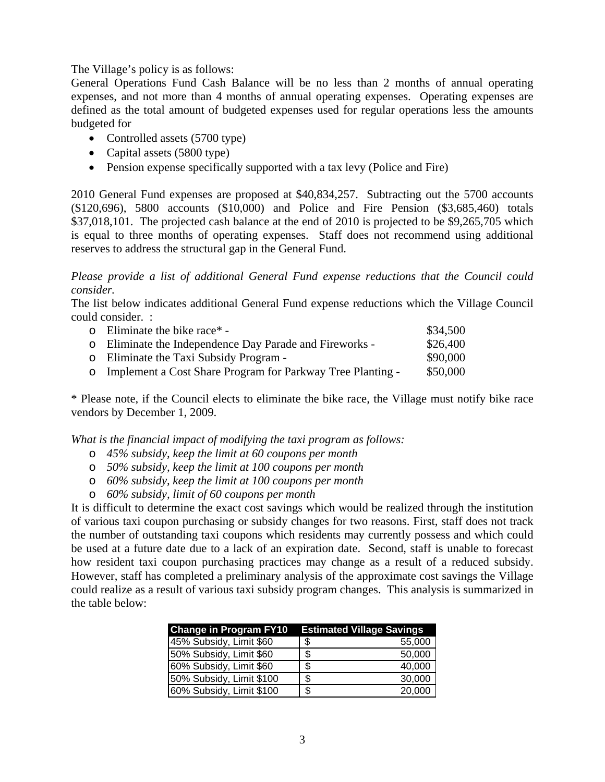The Village's policy is as follows:

General Operations Fund Cash Balance will be no less than 2 months of annual operating expenses, and not more than 4 months of annual operating expenses. Operating expenses are defined as the total amount of budgeted expenses used for regular operations less the amounts budgeted for

- Controlled assets (5700 type)
- Capital assets (5800 type)
- Pension expense specifically supported with a tax levy (Police and Fire)

2010 General Fund expenses are proposed at \$40,834,257. Subtracting out the 5700 accounts (\$120,696), 5800 accounts (\$10,000) and Police and Fire Pension (\$3,685,460) totals \$37,018,101. The projected cash balance at the end of 2010 is projected to be \$9,265,705 which is equal to three months of operating expenses. Staff does not recommend using additional reserves to address the structural gap in the General Fund.

*Please provide a list of additional General Fund expense reductions that the Council could consider.* 

The list below indicates additional General Fund expense reductions which the Village Council could consider. :

| $\circ$ Eliminate the bike race* -                           | \$34,500 |
|--------------------------------------------------------------|----------|
| o Eliminate the Independence Day Parade and Fireworks -      | \$26,400 |
| o Eliminate the Taxi Subsidy Program -                       | \$90,000 |
| o Implement a Cost Share Program for Parkway Tree Planting - | \$50,000 |

\* Please note, if the Council elects to eliminate the bike race, the Village must notify bike race vendors by December 1, 2009.

*What is the financial impact of modifying the taxi program as follows:* 

- o *45% subsidy, keep the limit at 60 coupons per month*
- o *50% subsidy, keep the limit at 100 coupons per month*
- o *60% subsidy, keep the limit at 100 coupons per month*
- o *60% subsidy, limit of 60 coupons per month*

It is difficult to determine the exact cost savings which would be realized through the institution of various taxi coupon purchasing or subsidy changes for two reasons. First, staff does not track the number of outstanding taxi coupons which residents may currently possess and which could be used at a future date due to a lack of an expiration date. Second, staff is unable to forecast how resident taxi coupon purchasing practices may change as a result of a reduced subsidy. However, staff has completed a preliminary analysis of the approximate cost savings the Village could realize as a result of various taxi subsidy program changes. This analysis is summarized in the table below:

| <b>Change in Program FY10</b> Estimated Village Savings |              |
|---------------------------------------------------------|--------------|
| 45% Subsidy, Limit \$60                                 | \$<br>55,000 |
| 50% Subsidy, Limit \$60                                 | \$<br>50,000 |
| 60% Subsidy, Limit \$60                                 | \$<br>40,000 |
| 50% Subsidy, Limit \$100                                | \$<br>30,000 |
| 60% Subsidy, Limit \$100                                | \$<br>20,000 |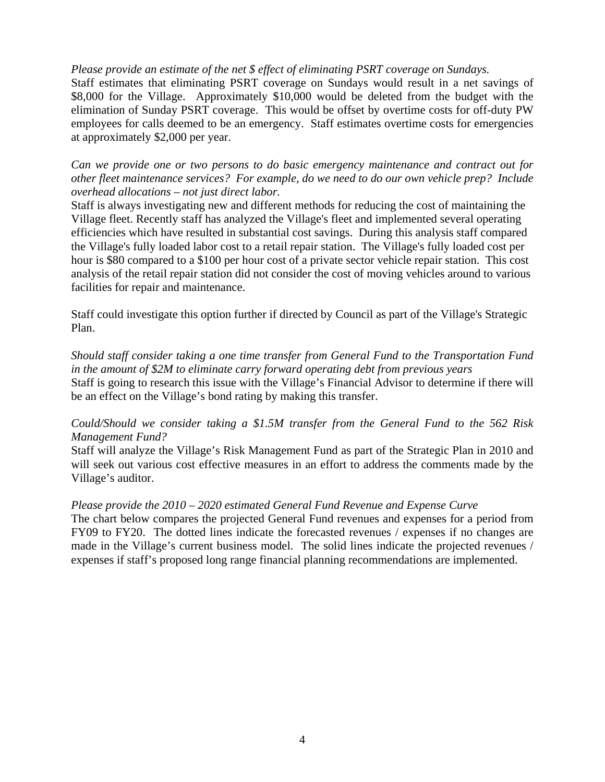### *Please provide an estimate of the net \$ effect of eliminating PSRT coverage on Sundays.*

Staff estimates that eliminating PSRT coverage on Sundays would result in a net savings of \$8,000 for the Village. Approximately \$10,000 would be deleted from the budget with the elimination of Sunday PSRT coverage. This would be offset by overtime costs for off-duty PW employees for calls deemed to be an emergency. Staff estimates overtime costs for emergencies at approximately \$2,000 per year.

*Can we provide one or two persons to do basic emergency maintenance and contract out for other fleet maintenance services? For example, do we need to do our own vehicle prep? Include overhead allocations – not just direct labor.* 

Staff is always investigating new and different methods for reducing the cost of maintaining the Village fleet. Recently staff has analyzed the Village's fleet and implemented several operating efficiencies which have resulted in substantial cost savings. During this analysis staff compared the Village's fully loaded labor cost to a retail repair station. The Village's fully loaded cost per hour is \$80 compared to a \$100 per hour cost of a private sector vehicle repair station. This cost analysis of the retail repair station did not consider the cost of moving vehicles around to various facilities for repair and maintenance.

Staff could investigate this option further if directed by Council as part of the Village's Strategic Plan.

*Should staff consider taking a one time transfer from General Fund to the Transportation Fund in the amount of \$2M to eliminate carry forward operating debt from previous years*  Staff is going to research this issue with the Village's Financial Advisor to determine if there will be an effect on the Village's bond rating by making this transfer.

### *Could/Should we consider taking a \$1.5M transfer from the General Fund to the 562 Risk Management Fund?*

Staff will analyze the Village's Risk Management Fund as part of the Strategic Plan in 2010 and will seek out various cost effective measures in an effort to address the comments made by the Village's auditor.

### *Please provide the 2010 – 2020 estimated General Fund Revenue and Expense Curve*

The chart below compares the projected General Fund revenues and expenses for a period from FY09 to FY20. The dotted lines indicate the forecasted revenues / expenses if no changes are made in the Village's current business model. The solid lines indicate the projected revenues / expenses if staff's proposed long range financial planning recommendations are implemented.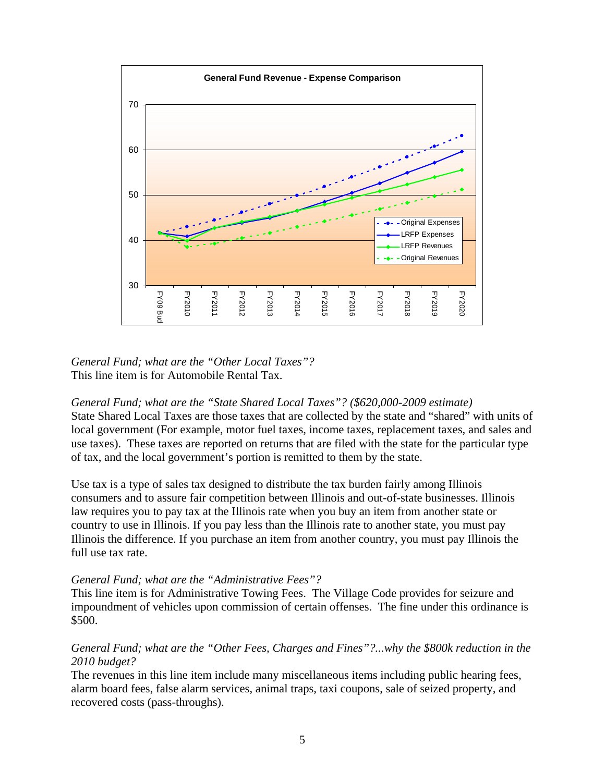

### *General Fund; what are the "Other Local Taxes"?*  This line item is for Automobile Rental Tax.

*General Fund; what are the "State Shared Local Taxes"? (\$620,000-2009 estimate)*  State Shared Local Taxes are those taxes that are collected by the state and "shared" with units of local government (For example, motor fuel taxes, income taxes, replacement taxes, and sales and use taxes). These taxes are reported on returns that are filed with the state for the particular type of tax, and the local government's portion is remitted to them by the state.

Use tax is a type of sales tax designed to distribute the tax burden fairly among Illinois consumers and to assure fair competition between Illinois and out-of-state businesses. Illinois law requires you to pay tax at the Illinois rate when you buy an item from another state or country to use in Illinois. If you pay less than the Illinois rate to another state, you must pay Illinois the difference. If you purchase an item from another country, you must pay Illinois the full use tax rate.

### *General Fund; what are the "Administrative Fees"?*

This line item is for Administrative Towing Fees. The Village Code provides for seizure and impoundment of vehicles upon commission of certain offenses. The fine under this ordinance is \$500.

## *General Fund; what are the "Other Fees, Charges and Fines"?...why the \$800k reduction in the 2010 budget?*

The revenues in this line item include many miscellaneous items including public hearing fees, alarm board fees, false alarm services, animal traps, taxi coupons, sale of seized property, and recovered costs (pass-throughs).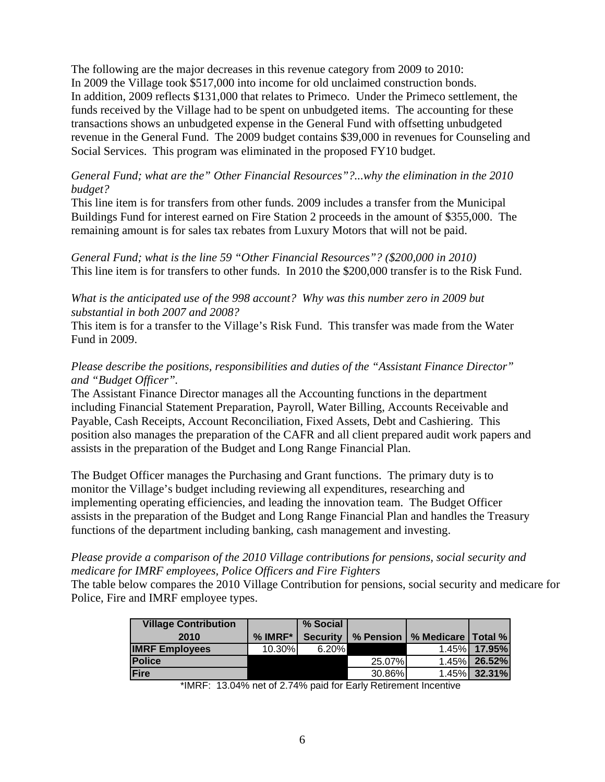The following are the major decreases in this revenue category from 2009 to 2010: In 2009 the Village took \$517,000 into income for old unclaimed construction bonds. In addition, 2009 reflects \$131,000 that relates to Primeco. Under the Primeco settlement, the funds received by the Village had to be spent on unbudgeted items. The accounting for these transactions shows an unbudgeted expense in the General Fund with offsetting unbudgeted revenue in the General Fund. The 2009 budget contains \$39,000 in revenues for Counseling and Social Services. This program was eliminated in the proposed FY10 budget.

### *General Fund; what are the" Other Financial Resources"?...why the elimination in the 2010 budget?*

This line item is for transfers from other funds. 2009 includes a transfer from the Municipal Buildings Fund for interest earned on Fire Station 2 proceeds in the amount of \$355,000. The remaining amount is for sales tax rebates from Luxury Motors that will not be paid.

*General Fund; what is the line 59 "Other Financial Resources"? (\$200,000 in 2010)*  This line item is for transfers to other funds. In 2010 the \$200,000 transfer is to the Risk Fund.

### *What is the anticipated use of the 998 account? Why was this number zero in 2009 but substantial in both 2007 and 2008?*

This item is for a transfer to the Village's Risk Fund. This transfer was made from the Water Fund in 2009.

# *Please describe the positions, responsibilities and duties of the "Assistant Finance Director" and "Budget Officer".*

The Assistant Finance Director manages all the Accounting functions in the department including Financial Statement Preparation, Payroll, Water Billing, Accounts Receivable and Payable, Cash Receipts, Account Reconciliation, Fixed Assets, Debt and Cashiering. This position also manages the preparation of the CAFR and all client prepared audit work papers and assists in the preparation of the Budget and Long Range Financial Plan.

The Budget Officer manages the Purchasing and Grant functions. The primary duty is to monitor the Village's budget including reviewing all expenditures, researching and implementing operating efficiencies, and leading the innovation team. The Budget Officer assists in the preparation of the Budget and Long Range Financial Plan and handles the Treasury functions of the department including banking, cash management and investing.

### *Please provide a comparison of the 2010 Village contributions for pensions, social security and medicare for IMRF employees, Police Officers and Fire Fighters*

The table below compares the 2010 Village Contribution for pensions, social security and medicare for Police, Fire and IMRF employee types.

| <b>Village Contribution</b> |           | % Social |        |                                             |              |
|-----------------------------|-----------|----------|--------|---------------------------------------------|--------------|
| 2010                        | $%$ IMRF* |          |        | Security   % Pension   % Medicare   Total % |              |
| <b>IMRF Employees</b>       | 10.30%    | 6.20%    |        |                                             | 1.45% 17.95% |
| <b>Police</b>               |           |          | 25.07% |                                             | 1.45% 26.52% |
| Fire                        |           |          | 30.86% |                                             | 1.45% 32.31% |

\*IMRF: 13.04% net of 2.74% paid for Early Retirement Incentive